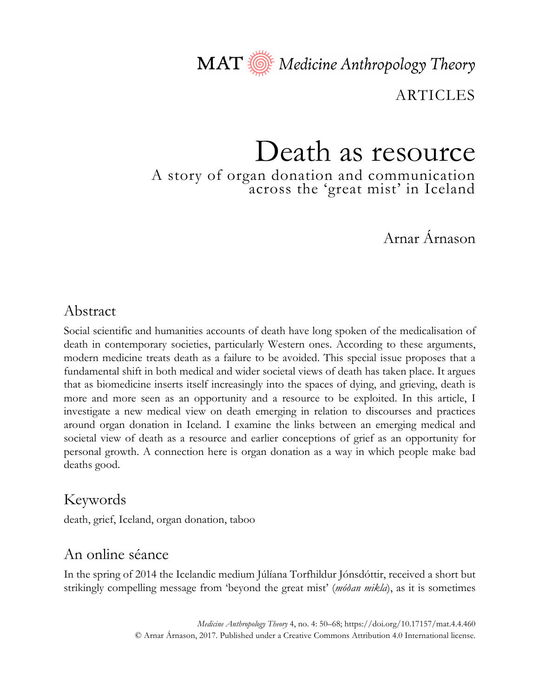MAT Nedicine Anthropology Theory

ARTICLES

# Death as resource

A story of organ donation and communication across the 'great mist' in Iceland

Arnar Árnason

## Abstract

Social scientific and humanities accounts of death have long spoken of the medicalisation of death in contemporary societies, particularly Western ones. According to these arguments, modern medicine treats death as a failure to be avoided. This special issue proposes that a fundamental shift in both medical and wider societal views of death has taken place. It argues that as biomedicine inserts itself increasingly into the spaces of dying, and grieving, death is more and more seen as an opportunity and a resource to be exploited. In this article, I investigate a new medical view on death emerging in relation to discourses and practices around organ donation in Iceland. I examine the links between an emerging medical and societal view of death as a resource and earlier conceptions of grief as an opportunity for personal growth. A connection here is organ donation as a way in which people make bad deaths good.

# Keywords

death, grief, Iceland, organ donation, taboo

## An online séance

In the spring of 2014 the Icelandic medium Júlíana Torfhildur Jónsdóttir, received a short but strikingly compelling message from 'beyond the great mist' (*móðan mikla*), as it is sometimes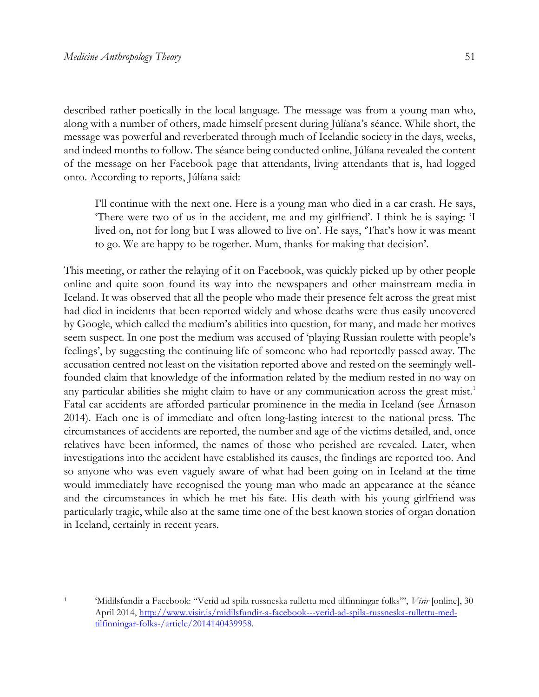described rather poetically in the local language. The message was from a young man who, along with a number of others, made himself present during Júlíana's séance. While short, the message was powerful and reverberated through much of Icelandic society in the days, weeks, and indeed months to follow. The séance being conducted online, Júlíana revealed the content of the message on her Facebook page that attendants, living attendants that is, had logged onto. According to reports, Júlíana said:

I'll continue with the next one. Here is a young man who died in a car crash. He says, 'There were two of us in the accident, me and my girlfriend'. I think he is saying: 'I lived on, not for long but I was allowed to live on'. He says, 'That's how it was meant to go. We are happy to be together. Mum, thanks for making that decision'.

This meeting, or rather the relaying of it on Facebook, was quickly picked up by other people online and quite soon found its way into the newspapers and other mainstream media in Iceland. It was observed that all the people who made their presence felt across the great mist had died in incidents that been reported widely and whose deaths were thus easily uncovered by Google, which called the medium's abilities into question, for many, and made her motives seem suspect. In one post the medium was accused of 'playing Russian roulette with people's feelings', by suggesting the continuing life of someone who had reportedly passed away. The accusation centred not least on the visitation reported above and rested on the seemingly wellfounded claim that knowledge of the information related by the medium rested in no way on any particular abilities she might claim to have or any communication across the great mist.<sup>1</sup> Fatal car accidents are afforded particular prominence in the media in Iceland (see Árnason 2014). Each one is of immediate and often long-lasting interest to the national press. The circumstances of accidents are reported, the number and age of the victims detailed, and, once relatives have been informed, the names of those who perished are revealed. Later, when investigations into the accident have established its causes, the findings are reported too. And so anyone who was even vaguely aware of what had been going on in Iceland at the time would immediately have recognised the young man who made an appearance at the séance and the circumstances in which he met his fate. His death with his young girlfriend was particularly tragic, while also at the same time one of the best known stories of organ donation in Iceland, certainly in recent years.

<sup>1</sup> 'Midilsfundir a Facebook: "Verid ad spila russneska rullettu med tilfinningar folks"', *Vísir* [online], 30 April 2014, http://www.visir.is/midilsfundir-a-facebook---verid-ad-spila-russneska-rullettu-medtilfinningar-folks-/article/2014140439958.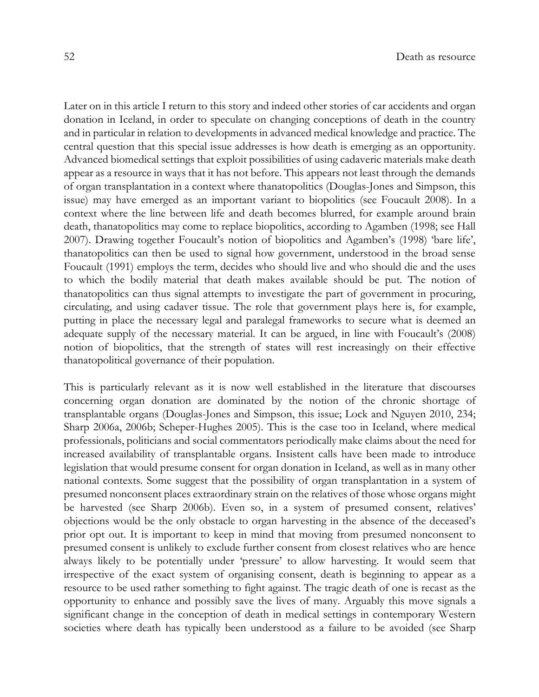Later on in this article I return to this story and indeed other stories of car accidents and organ donation in Iceland, in order to speculate on changing conceptions of death in the country and in particular in relation to developments in advanced medical knowledge and practice. The central question that this special issue addresses is how death is emerging as an opportunity. Advanced biomedical settings that exploit possibilities of using cadaveric materials make death appear as a resource in ways that it has not before. This appears not least through the demands of organ transplantation in a context where thanatopolitics (Douglas-Jones and Simpson, this issue) may have emerged as an important variant to biopolitics (see Foucault 2008). In a context where the line between life and death becomes blurred, for example around brain death, thanatopolitics may come to replace biopolitics, according to Agamben (1998; see Hall 2007). Drawing together Foucault's notion of biopolitics and Agamben's (1998) 'bare life', thanatopolitics can then be used to signal how government, understood in the broad sense Foucault (1991) employs the term, decides who should live and who should die and the uses to which the bodily material that death makes available should be put. The notion of thanatopolitics can thus signal attempts to investigate the part of government in procuring, circulating, and using cadaver tissue. The role that government plays here is, for example, putting in place the necessary legal and paralegal frameworks to secure what is deemed an adequate supply of the necessary material. It can be argued, in line with Foucault's (2008) notion of biopolitics, that the strength of states will rest increasingly on their effective thanatopolitical governance of their population.

This is particularly relevant as it is now well established in the literature that discourses concerning organ donation are dominated by the notion of the chronic shortage of transplantable organs (Douglas-Jones and Simpson, this issue; Lock and Nguyen 2010, 234; Sharp 2006a, 2006b; Scheper-Hughes 2005). This is the case too in Iceland, where medical professionals, politicians and social commentators periodically make claims about the need for increased availability of transplantable organs. Insistent calls have been made to introduce legislation that would presume consent for organ donation in Iceland, as well as in many other national contexts. Some suggest that the possibility of organ transplantation in a system of presumed nonconsent places extraordinary strain on the relatives of those whose organs might be harvested (see Sharp 2006b). Even so, in a system of presumed consent, relatives' objections would be the only obstacle to organ harvesting in the absence of the deceased's prior opt out. It is important to keep in mind that moving from presumed nonconsent to presumed consent is unlikely to exclude further consent from closest relatives who are hence always likely to be potentially under 'pressure' to allow harvesting. It would seem that irrespective of the exact system of organising consent, death is beginning to appear as a resource to be used rather something to fight against. The tragic death of one is recast as the opportunity to enhance and possibly save the lives of many. Arguably this move signals a significant change in the conception of death in medical settings in contemporary Western societies where death has typically been understood as a failure to be avoided (see Sharp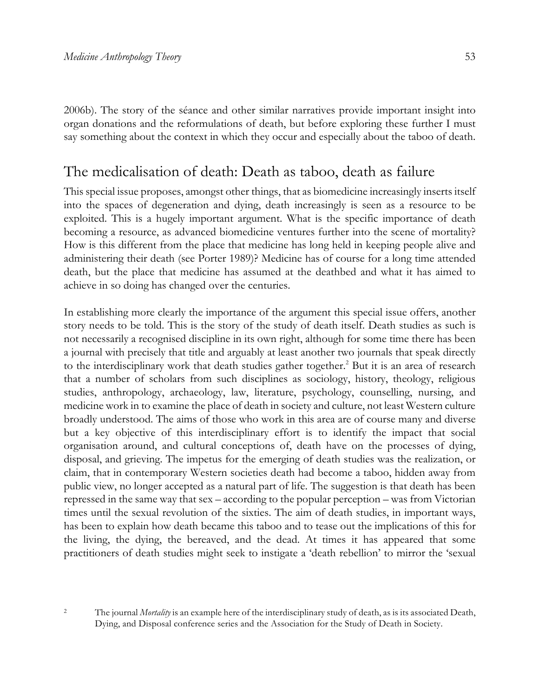2006b). The story of the séance and other similar narratives provide important insight into organ donations and the reformulations of death, but before exploring these further I must say something about the context in which they occur and especially about the taboo of death.

#### The medicalisation of death: Death as taboo, death as failure

This special issue proposes, amongst other things, that as biomedicine increasingly inserts itself into the spaces of degeneration and dying, death increasingly is seen as a resource to be exploited. This is a hugely important argument. What is the specific importance of death becoming a resource, as advanced biomedicine ventures further into the scene of mortality? How is this different from the place that medicine has long held in keeping people alive and administering their death (see Porter 1989)? Medicine has of course for a long time attended death, but the place that medicine has assumed at the deathbed and what it has aimed to achieve in so doing has changed over the centuries.

In establishing more clearly the importance of the argument this special issue offers, another story needs to be told. This is the story of the study of death itself. Death studies as such is not necessarily a recognised discipline in its own right, although for some time there has been a journal with precisely that title and arguably at least another two journals that speak directly to the interdisciplinary work that death studies gather together.<sup>2</sup> But it is an area of research that a number of scholars from such disciplines as sociology, history, theology, religious studies, anthropology, archaeology, law, literature, psychology, counselling, nursing, and medicine work in to examine the place of death in society and culture, not least Western culture broadly understood. The aims of those who work in this area are of course many and diverse but a key objective of this interdisciplinary effort is to identify the impact that social organisation around, and cultural conceptions of, death have on the processes of dying, disposal, and grieving. The impetus for the emerging of death studies was the realization, or claim, that in contemporary Western societies death had become a taboo, hidden away from public view, no longer accepted as a natural part of life. The suggestion is that death has been repressed in the same way that sex – according to the popular perception – was from Victorian times until the sexual revolution of the sixties. The aim of death studies, in important ways, has been to explain how death became this taboo and to tease out the implications of this for the living, the dying, the bereaved, and the dead. At times it has appeared that some practitioners of death studies might seek to instigate a 'death rebellion' to mirror the 'sexual

<sup>2</sup> The journal *Mortality* is an example here of the interdisciplinary study of death, as is its associated Death, Dying, and Disposal conference series and the Association for the Study of Death in Society.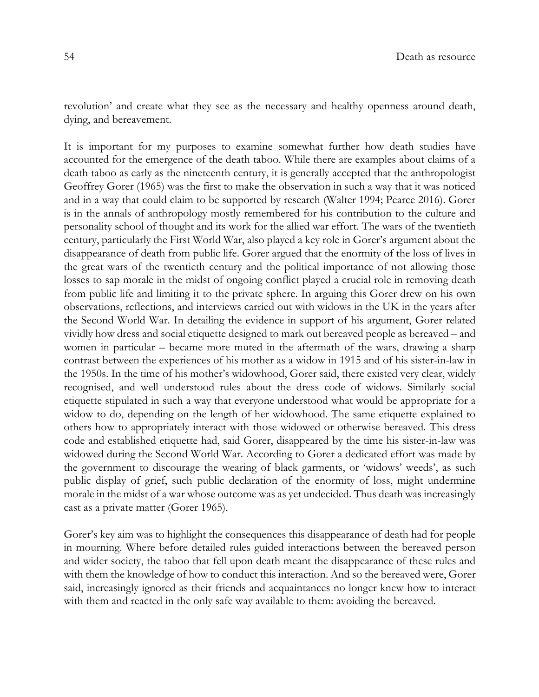revolution' and create what they see as the necessary and healthy openness around death, dying, and bereavement.

It is important for my purposes to examine somewhat further how death studies have accounted for the emergence of the death taboo. While there are examples about claims of a death taboo as early as the nineteenth century, it is generally accepted that the anthropologist Geoffrey Gorer (1965) was the first to make the observation in such a way that it was noticed and in a way that could claim to be supported by research (Walter 1994; Pearce 2016). Gorer is in the annals of anthropology mostly remembered for his contribution to the culture and personality school of thought and its work for the allied war effort. The wars of the twentieth century, particularly the First World War, also played a key role in Gorer's argument about the disappearance of death from public life. Gorer argued that the enormity of the loss of lives in the great wars of the twentieth century and the political importance of not allowing those losses to sap morale in the midst of ongoing conflict played a crucial role in removing death from public life and limiting it to the private sphere. In arguing this Gorer drew on his own observations, reflections, and interviews carried out with widows in the UK in the years after the Second World War. In detailing the evidence in support of his argument, Gorer related vividly how dress and social etiquette designed to mark out bereaved people as bereaved – and women in particular – became more muted in the aftermath of the wars, drawing a sharp contrast between the experiences of his mother as a widow in 1915 and of his sister-in-law in the 1950s. In the time of his mother's widowhood, Gorer said, there existed very clear, widely recognised, and well understood rules about the dress code of widows. Similarly social etiquette stipulated in such a way that everyone understood what would be appropriate for a widow to do, depending on the length of her widowhood. The same etiquette explained to others how to appropriately interact with those widowed or otherwise bereaved. This dress code and established etiquette had, said Gorer, disappeared by the time his sister-in-law was widowed during the Second World War. According to Gorer a dedicated effort was made by the government to discourage the wearing of black garments, or 'widows' weeds', as such public display of grief, such public declaration of the enormity of loss, might undermine morale in the midst of a war whose outcome was as yet undecided. Thus death was increasingly cast as a private matter (Gorer 1965).

Gorer's key aim was to highlight the consequences this disappearance of death had for people in mourning. Where before detailed rules guided interactions between the bereaved person and wider society, the taboo that fell upon death meant the disappearance of these rules and with them the knowledge of how to conduct this interaction. And so the bereaved were, Gorer said, increasingly ignored as their friends and acquaintances no longer knew how to interact with them and reacted in the only safe way available to them: avoiding the bereaved.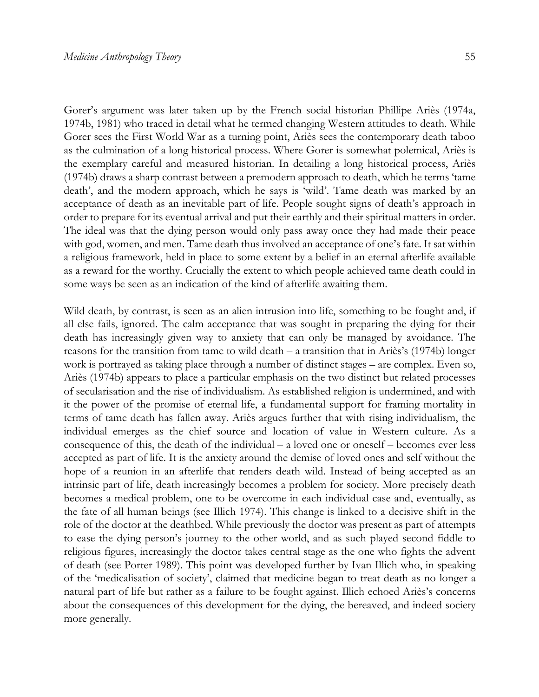Gorer's argument was later taken up by the French social historian Phillipe Ariès (1974a, 1974b, 1981) who traced in detail what he termed changing Western attitudes to death. While Gorer sees the First World War as a turning point, Ariès sees the contemporary death taboo as the culmination of a long historical process. Where Gorer is somewhat polemical, Ariès is the exemplary careful and measured historian. In detailing a long historical process, Ariès (1974b) draws a sharp contrast between a premodern approach to death, which he terms 'tame death', and the modern approach, which he says is 'wild'. Tame death was marked by an acceptance of death as an inevitable part of life. People sought signs of death's approach in order to prepare for its eventual arrival and put their earthly and their spiritual matters in order. The ideal was that the dying person would only pass away once they had made their peace with god, women, and men. Tame death thus involved an acceptance of one's fate. It sat within a religious framework, held in place to some extent by a belief in an eternal afterlife available as a reward for the worthy. Crucially the extent to which people achieved tame death could in some ways be seen as an indication of the kind of afterlife awaiting them.

Wild death, by contrast, is seen as an alien intrusion into life, something to be fought and, if all else fails, ignored. The calm acceptance that was sought in preparing the dying for their death has increasingly given way to anxiety that can only be managed by avoidance. The reasons for the transition from tame to wild death – a transition that in Ariès's (1974b) longer work is portrayed as taking place through a number of distinct stages – are complex. Even so, Ariès (1974b) appears to place a particular emphasis on the two distinct but related processes of secularisation and the rise of individualism. As established religion is undermined, and with it the power of the promise of eternal life, a fundamental support for framing mortality in terms of tame death has fallen away. Ariès argues further that with rising individualism, the individual emerges as the chief source and location of value in Western culture. As a consequence of this, the death of the individual – a loved one or oneself – becomes ever less accepted as part of life. It is the anxiety around the demise of loved ones and self without the hope of a reunion in an afterlife that renders death wild. Instead of being accepted as an intrinsic part of life, death increasingly becomes a problem for society. More precisely death becomes a medical problem, one to be overcome in each individual case and, eventually, as the fate of all human beings (see Illich 1974). This change is linked to a decisive shift in the role of the doctor at the deathbed. While previously the doctor was present as part of attempts to ease the dying person's journey to the other world, and as such played second fiddle to religious figures, increasingly the doctor takes central stage as the one who fights the advent of death (see Porter 1989). This point was developed further by Ivan Illich who, in speaking of the 'medicalisation of society', claimed that medicine began to treat death as no longer a natural part of life but rather as a failure to be fought against. Illich echoed Ariès's concerns about the consequences of this development for the dying, the bereaved, and indeed society more generally.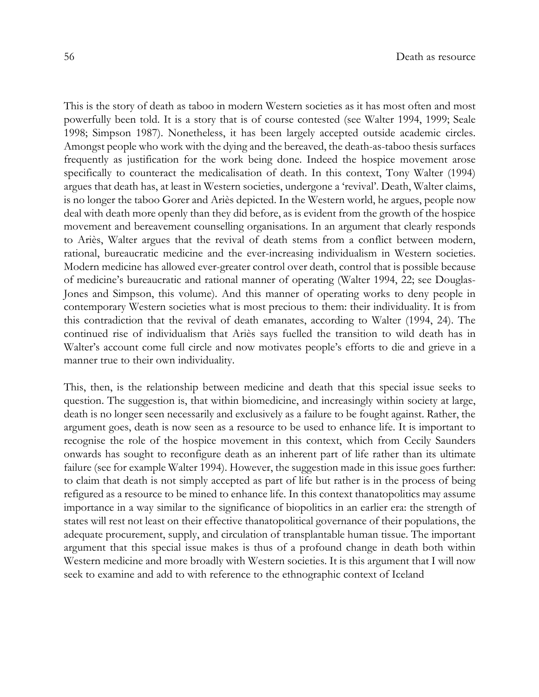This is the story of death as taboo in modern Western societies as it has most often and most powerfully been told. It is a story that is of course contested (see Walter 1994, 1999; Seale 1998; Simpson 1987). Nonetheless, it has been largely accepted outside academic circles. Amongst people who work with the dying and the bereaved, the death-as-taboo thesis surfaces frequently as justification for the work being done. Indeed the hospice movement arose specifically to counteract the medicalisation of death. In this context, Tony Walter (1994) argues that death has, at least in Western societies, undergone a 'revival'. Death, Walter claims, is no longer the taboo Gorer and Ariès depicted. In the Western world, he argues, people now deal with death more openly than they did before, as is evident from the growth of the hospice movement and bereavement counselling organisations. In an argument that clearly responds to Ariès, Walter argues that the revival of death stems from a conflict between modern, rational, bureaucratic medicine and the ever-increasing individualism in Western societies. Modern medicine has allowed ever-greater control over death, control that is possible because of medicine's bureaucratic and rational manner of operating (Walter 1994, 22; see Douglas-Jones and Simpson, this volume). And this manner of operating works to deny people in contemporary Western societies what is most precious to them: their individuality. It is from this contradiction that the revival of death emanates, according to Walter (1994, 24). The continued rise of individualism that Ariès says fuelled the transition to wild death has in Walter's account come full circle and now motivates people's efforts to die and grieve in a manner true to their own individuality.

This, then, is the relationship between medicine and death that this special issue seeks to question. The suggestion is, that within biomedicine, and increasingly within society at large, death is no longer seen necessarily and exclusively as a failure to be fought against. Rather, the argument goes, death is now seen as a resource to be used to enhance life. It is important to recognise the role of the hospice movement in this context, which from Cecily Saunders onwards has sought to reconfigure death as an inherent part of life rather than its ultimate failure (see for example Walter 1994). However, the suggestion made in this issue goes further: to claim that death is not simply accepted as part of life but rather is in the process of being refigured as a resource to be mined to enhance life. In this context thanatopolitics may assume importance in a way similar to the significance of biopolitics in an earlier era: the strength of states will rest not least on their effective thanatopolitical governance of their populations, the adequate procurement, supply, and circulation of transplantable human tissue. The important argument that this special issue makes is thus of a profound change in death both within Western medicine and more broadly with Western societies. It is this argument that I will now seek to examine and add to with reference to the ethnographic context of Iceland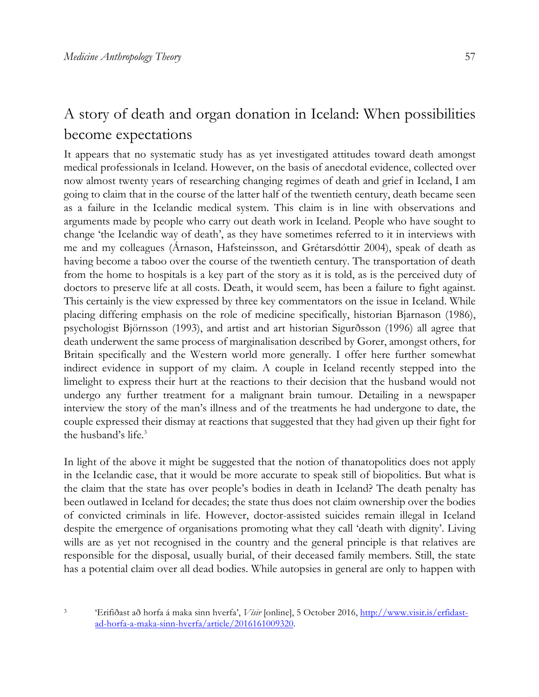# A story of death and organ donation in Iceland: When possibilities become expectations

It appears that no systematic study has as yet investigated attitudes toward death amongst medical professionals in Iceland. However, on the basis of anecdotal evidence, collected over now almost twenty years of researching changing regimes of death and grief in Iceland, I am going to claim that in the course of the latter half of the twentieth century, death became seen as a failure in the Icelandic medical system. This claim is in line with observations and arguments made by people who carry out death work in Iceland. People who have sought to change 'the Icelandic way of death', as they have sometimes referred to it in interviews with me and my colleagues (Árnason, Hafsteinsson, and Grétarsdóttir 2004), speak of death as having become a taboo over the course of the twentieth century. The transportation of death from the home to hospitals is a key part of the story as it is told, as is the perceived duty of doctors to preserve life at all costs. Death, it would seem, has been a failure to fight against. This certainly is the view expressed by three key commentators on the issue in Iceland. While placing differing emphasis on the role of medicine specifically, historian Bjarnason (1986), psychologist Björnsson (1993), and artist and art historian Sigurðsson (1996) all agree that death underwent the same process of marginalisation described by Gorer, amongst others, for Britain specifically and the Western world more generally. I offer here further somewhat indirect evidence in support of my claim. A couple in Iceland recently stepped into the limelight to express their hurt at the reactions to their decision that the husband would not undergo any further treatment for a malignant brain tumour. Detailing in a newspaper interview the story of the man's illness and of the treatments he had undergone to date, the couple expressed their dismay at reactions that suggested that they had given up their fight for the husband's life.<sup>3</sup>

In light of the above it might be suggested that the notion of thanatopolitics does not apply in the Icelandic case, that it would be more accurate to speak still of biopolitics. But what is the claim that the state has over people's bodies in death in Iceland? The death penalty has been outlawed in Iceland for decades; the state thus does not claim ownership over the bodies of convicted criminals in life. However, doctor-assisted suicides remain illegal in Iceland despite the emergence of organisations promoting what they call 'death with dignity'. Living wills are as yet not recognised in the country and the general principle is that relatives are responsible for the disposal, usually burial, of their deceased family members. Still, the state has a potential claim over all dead bodies. While autopsies in general are only to happen with

<sup>3</sup> 'Erifiðast að horfa á maka sinn hverfa', *Vísir* [online], 5 October 2016, http://www.visir.is/erfidastad-horfa-a-maka-sinn-hverfa/article/2016161009320.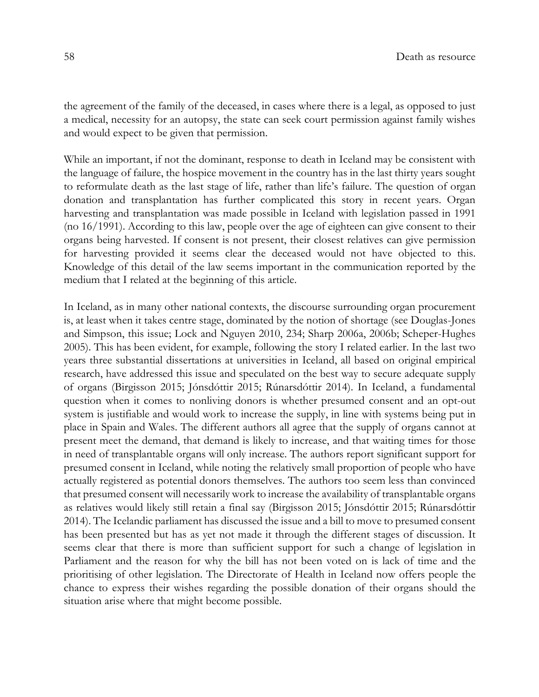the agreement of the family of the deceased, in cases where there is a legal, as opposed to just a medical, necessity for an autopsy, the state can seek court permission against family wishes and would expect to be given that permission.

While an important, if not the dominant, response to death in Iceland may be consistent with the language of failure, the hospice movement in the country has in the last thirty years sought to reformulate death as the last stage of life, rather than life's failure. The question of organ donation and transplantation has further complicated this story in recent years. Organ harvesting and transplantation was made possible in Iceland with legislation passed in 1991 (no 16/1991). According to this law, people over the age of eighteen can give consent to their organs being harvested. If consent is not present, their closest relatives can give permission for harvesting provided it seems clear the deceased would not have objected to this. Knowledge of this detail of the law seems important in the communication reported by the medium that I related at the beginning of this article.

In Iceland, as in many other national contexts, the discourse surrounding organ procurement is, at least when it takes centre stage, dominated by the notion of shortage (see Douglas-Jones and Simpson, this issue; Lock and Nguyen 2010, 234; Sharp 2006a, 2006b; Scheper-Hughes 2005). This has been evident, for example, following the story I related earlier. In the last two years three substantial dissertations at universities in Iceland, all based on original empirical research, have addressed this issue and speculated on the best way to secure adequate supply of organs (Birgisson 2015; Jónsdóttir 2015; Rúnarsdóttir 2014). In Iceland, a fundamental question when it comes to nonliving donors is whether presumed consent and an opt-out system is justifiable and would work to increase the supply, in line with systems being put in place in Spain and Wales. The different authors all agree that the supply of organs cannot at present meet the demand, that demand is likely to increase, and that waiting times for those in need of transplantable organs will only increase. The authors report significant support for presumed consent in Iceland, while noting the relatively small proportion of people who have actually registered as potential donors themselves. The authors too seem less than convinced that presumed consent will necessarily work to increase the availability of transplantable organs as relatives would likely still retain a final say (Birgisson 2015; Jónsdóttir 2015; Rúnarsdóttir 2014). The Icelandic parliament has discussed the issue and a bill to move to presumed consent has been presented but has as yet not made it through the different stages of discussion. It seems clear that there is more than sufficient support for such a change of legislation in Parliament and the reason for why the bill has not been voted on is lack of time and the prioritising of other legislation. The Directorate of Health in Iceland now offers people the chance to express their wishes regarding the possible donation of their organs should the situation arise where that might become possible.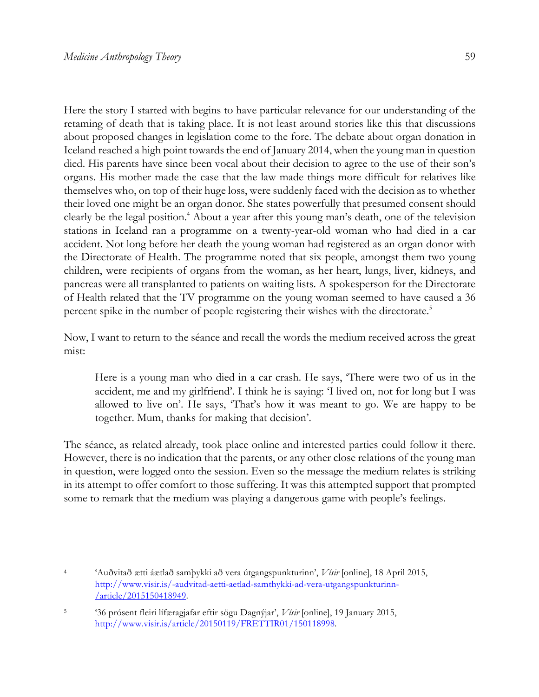Here the story I started with begins to have particular relevance for our understanding of the retaming of death that is taking place. It is not least around stories like this that discussions about proposed changes in legislation come to the fore. The debate about organ donation in Iceland reached a high point towards the end of January 2014, when the young man in question died. His parents have since been vocal about their decision to agree to the use of their son's organs. His mother made the case that the law made things more difficult for relatives like themselves who, on top of their huge loss, were suddenly faced with the decision as to whether their loved one might be an organ donor. She states powerfully that presumed consent should clearly be the legal position.<sup>4</sup> About a year after this young man's death, one of the television stations in Iceland ran a programme on a twenty-year-old woman who had died in a car accident. Not long before her death the young woman had registered as an organ donor with the Directorate of Health. The programme noted that six people, amongst them two young children, were recipients of organs from the woman, as her heart, lungs, liver, kidneys, and pancreas were all transplanted to patients on waiting lists. A spokesperson for the Directorate of Health related that the TV programme on the young woman seemed to have caused a 36 percent spike in the number of people registering their wishes with the directorate. 5

Now, I want to return to the séance and recall the words the medium received across the great mist:

Here is a young man who died in a car crash. He says, 'There were two of us in the accident, me and my girlfriend'. I think he is saying: 'I lived on, not for long but I was allowed to live on'. He says, 'That's how it was meant to go. We are happy to be together. Mum, thanks for making that decision'.

The séance, as related already, took place online and interested parties could follow it there. However, there is no indication that the parents, or any other close relations of the young man in question, were logged onto the session. Even so the message the medium relates is striking in its attempt to offer comfort to those suffering. It was this attempted support that prompted some to remark that the medium was playing a dangerous game with people's feelings.

<sup>4</sup> 'Auðvitað ætti áætlað samþykki að vera útgangspunkturinn', *Vísir* [online], 18 April 2015, http://www.visir.is/-audvitad-aetti-aetlad-samthykki-ad-vera-utgangspunkturinn- /article/2015150418949.

<sup>5</sup> '36 prósent fleiri lífæragjafar eftir sögu Dagnýjar', *Vísir* [online], 19 January 2015, http://www.visir.is/article/20150119/FRETTIR01/150118998.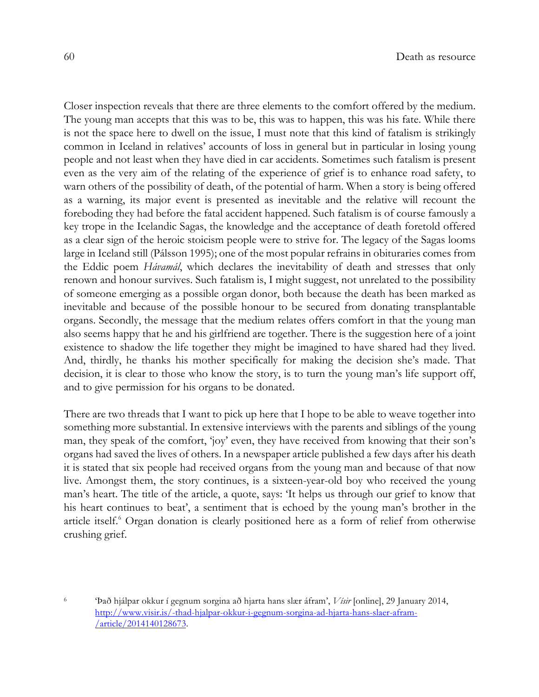Closer inspection reveals that there are three elements to the comfort offered by the medium. The young man accepts that this was to be, this was to happen, this was his fate. While there is not the space here to dwell on the issue, I must note that this kind of fatalism is strikingly common in Iceland in relatives' accounts of loss in general but in particular in losing young people and not least when they have died in car accidents. Sometimes such fatalism is present even as the very aim of the relating of the experience of grief is to enhance road safety, to warn others of the possibility of death, of the potential of harm. When a story is being offered as a warning, its major event is presented as inevitable and the relative will recount the foreboding they had before the fatal accident happened. Such fatalism is of course famously a key trope in the Icelandic Sagas, the knowledge and the acceptance of death foretold offered as a clear sign of the heroic stoicism people were to strive for. The legacy of the Sagas looms large in Iceland still (Pálsson 1995); one of the most popular refrains in obituraries comes from the Eddic poem *Hávamál*, which declares the inevitability of death and stresses that only renown and honour survives. Such fatalism is, I might suggest, not unrelated to the possibility of someone emerging as a possible organ donor, both because the death has been marked as inevitable and because of the possible honour to be secured from donating transplantable organs. Secondly, the message that the medium relates offers comfort in that the young man also seems happy that he and his girlfriend are together. There is the suggestion here of a joint existence to shadow the life together they might be imagined to have shared had they lived. And, thirdly, he thanks his mother specifically for making the decision she's made. That decision, it is clear to those who know the story, is to turn the young man's life support off, and to give permission for his organs to be donated.

There are two threads that I want to pick up here that I hope to be able to weave together into something more substantial. In extensive interviews with the parents and siblings of the young man, they speak of the comfort, 'joy' even, they have received from knowing that their son's organs had saved the lives of others. In a newspaper article published a few days after his death it is stated that six people had received organs from the young man and because of that now live. Amongst them, the story continues, is a sixteen-year-old boy who received the young man's heart. The title of the article, a quote, says: 'It helps us through our grief to know that his heart continues to beat', a sentiment that is echoed by the young man's brother in the article itself.<sup>6</sup> Organ donation is clearly positioned here as a form of relief from otherwise crushing grief.

<sup>6</sup> 'Það hjálpar okkur í gegnum sorgina að hjarta hans slær áfram', *Vísir* [online], 29 January 2014, http://www.visir.is/-thad-hjalpar-okkur-i-gegnum-sorgina-ad-hjarta-hans-slaer-afram- /article/2014140128673.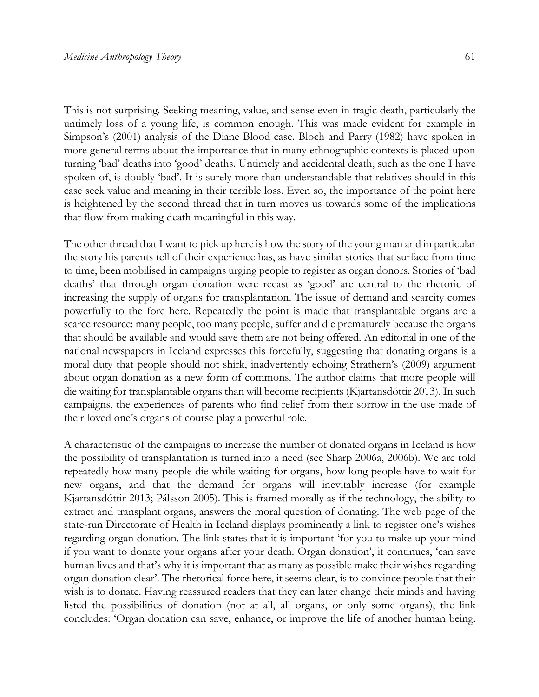This is not surprising. Seeking meaning, value, and sense even in tragic death, particularly the untimely loss of a young life, is common enough. This was made evident for example in Simpson's (2001) analysis of the Diane Blood case. Bloch and Parry (1982) have spoken in more general terms about the importance that in many ethnographic contexts is placed upon turning 'bad' deaths into 'good' deaths. Untimely and accidental death, such as the one I have spoken of, is doubly 'bad'. It is surely more than understandable that relatives should in this case seek value and meaning in their terrible loss. Even so, the importance of the point here is heightened by the second thread that in turn moves us towards some of the implications that flow from making death meaningful in this way.

The other thread that I want to pick up here is how the story of the young man and in particular the story his parents tell of their experience has, as have similar stories that surface from time to time, been mobilised in campaigns urging people to register as organ donors. Stories of 'bad deaths' that through organ donation were recast as 'good' are central to the rhetoric of increasing the supply of organs for transplantation. The issue of demand and scarcity comes powerfully to the fore here. Repeatedly the point is made that transplantable organs are a scarce resource: many people, too many people, suffer and die prematurely because the organs that should be available and would save them are not being offered. An editorial in one of the national newspapers in Iceland expresses this forcefully, suggesting that donating organs is a moral duty that people should not shirk, inadvertently echoing Strathern's (2009) argument about organ donation as a new form of commons. The author claims that more people will die waiting for transplantable organs than will become recipients (Kjartansdóttir 2013). In such campaigns, the experiences of parents who find relief from their sorrow in the use made of their loved one's organs of course play a powerful role.

A characteristic of the campaigns to increase the number of donated organs in Iceland is how the possibility of transplantation is turned into a need (see Sharp 2006a, 2006b). We are told repeatedly how many people die while waiting for organs, how long people have to wait for new organs, and that the demand for organs will inevitably increase (for example Kjartansdóttir 2013; Pálsson 2005). This is framed morally as if the technology, the ability to extract and transplant organs, answers the moral question of donating. The web page of the state-run Directorate of Health in Iceland displays prominently a link to register one's wishes regarding organ donation. The link states that it is important 'for you to make up your mind if you want to donate your organs after your death. Organ donation', it continues, 'can save human lives and that's why it is important that as many as possible make their wishes regarding organ donation clear'. The rhetorical force here, it seems clear, is to convince people that their wish is to donate. Having reassured readers that they can later change their minds and having listed the possibilities of donation (not at all, all organs, or only some organs), the link concludes: 'Organ donation can save, enhance, or improve the life of another human being.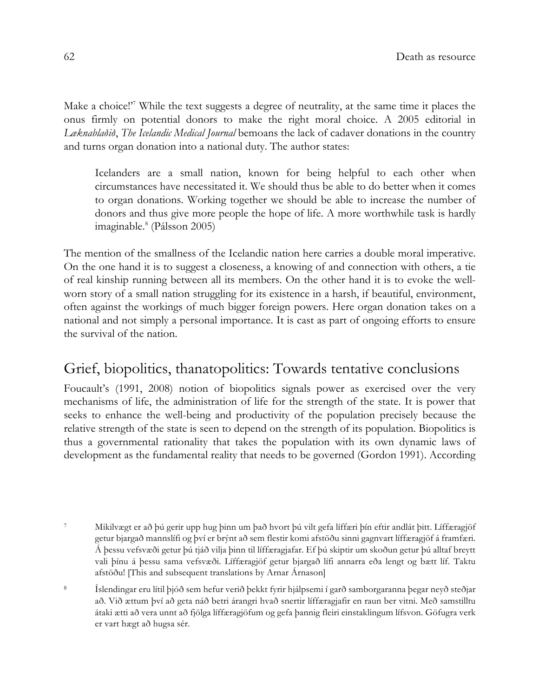Make a choice!<sup>'7</sup> While the text suggests a degree of neutrality, at the same time it places the onus firmly on potential donors to make the right moral choice. A 2005 editorial in *Læknablaðið*, *The Icelandic Medical Journal* bemoans the lack of cadaver donations in the country and turns organ donation into a national duty. The author states:

Icelanders are a small nation, known for being helpful to each other when circumstances have necessitated it. We should thus be able to do better when it comes to organ donations. Working together we should be able to increase the number of donors and thus give more people the hope of life. A more worthwhile task is hardly imaginable. $^{8}$  (Pálsson 2005)

The mention of the smallness of the Icelandic nation here carries a double moral imperative. On the one hand it is to suggest a closeness, a knowing of and connection with others, a tie of real kinship running between all its members. On the other hand it is to evoke the wellworn story of a small nation struggling for its existence in a harsh, if beautiful, environment, often against the workings of much bigger foreign powers. Here organ donation takes on a national and not simply a personal importance. It is cast as part of ongoing efforts to ensure the survival of the nation.

# Grief, biopolitics, thanatopolitics: Towards tentative conclusions

Foucault's (1991, 2008) notion of biopolitics signals power as exercised over the very mechanisms of life, the administration of life for the strength of the state. It is power that seeks to enhance the well-being and productivity of the population precisely because the relative strength of the state is seen to depend on the strength of its population. Biopolitics is thus a governmental rationality that takes the population with its own dynamic laws of development as the fundamental reality that needs to be governed (Gordon 1991). According

<sup>7</sup> Mikilvægt er að þú gerir upp hug þinn um það hvort þú vilt gefa líffæri þín eftir andlát þitt. Líffæragjöf getur bjargað mannslífi og því er brýnt að sem flestir komi afstöðu sinni gagnvart líffæragjöf á framfæri. Á þessu vefsvæði getur þú tjáð vilja þinn til líffæragjafar. Ef þú skiptir um skoðun getur þú alltaf breytt vali þínu á þessu sama vefsvæði. Líffæragjöf getur bjargað lífi annarra eða lengt og bætt líf. Taktu afstöðu! [This and subsequent translations by Arnar Árnason]

<sup>8</sup> Íslendingar eru lítil þjóð sem hefur verið þekkt fyrir hjálpsemi í garð samborgaranna þegar neyð steðjar að. Við ættum því að geta náð betri árangri hvað snertir líffæragjafir en raun ber vitni. Með samstilltu átaki ætti að vera unnt að fjölga líffæragjöfum og gefa þannig fleiri einstaklingum lífsvon. Göfugra verk er vart hægt að hugsa sér.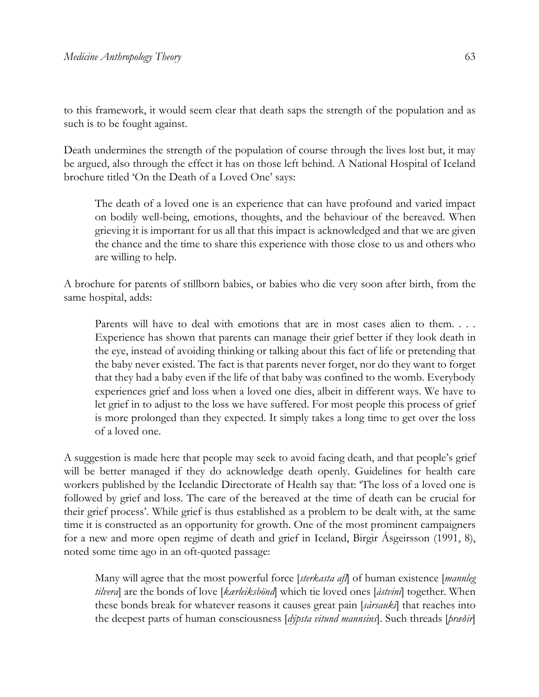to this framework, it would seem clear that death saps the strength of the population and as such is to be fought against.

Death undermines the strength of the population of course through the lives lost but, it may be argued, also through the effect it has on those left behind. A National Hospital of Iceland brochure titled 'On the Death of a Loved One' says:

The death of a loved one is an experience that can have profound and varied impact on bodily well-being, emotions, thoughts, and the behaviour of the bereaved. When grieving it is important for us all that this impact is acknowledged and that we are given the chance and the time to share this experience with those close to us and others who are willing to help.

A brochure for parents of stillborn babies, or babies who die very soon after birth, from the same hospital, adds:

Parents will have to deal with emotions that are in most cases alien to them. . . . Experience has shown that parents can manage their grief better if they look death in the eye, instead of avoiding thinking or talking about this fact of life or pretending that the baby never existed. The fact is that parents never forget, nor do they want to forget that they had a baby even if the life of that baby was confined to the womb. Everybody experiences grief and loss when a loved one dies, albeit in different ways. We have to let grief in to adjust to the loss we have suffered. For most people this process of grief is more prolonged than they expected. It simply takes a long time to get over the loss of a loved one.

A suggestion is made here that people may seek to avoid facing death, and that people's grief will be better managed if they do acknowledge death openly. Guidelines for health care workers published by the Icelandic Directorate of Health say that: 'The loss of a loved one is followed by grief and loss. The care of the bereaved at the time of death can be crucial for their grief process'. While grief is thus established as a problem to be dealt with, at the same time it is constructed as an opportunity for growth. One of the most prominent campaigners for a new and more open regime of death and grief in Iceland, Birgir Ásgeirsson (1991, 8), noted some time ago in an oft-quoted passage:

Many will agree that the most powerful force [*sterkasta afl*] of human existence [*mannleg tilvera*] are the bonds of love [*kærleiksbönd*] which tie loved ones [*ástvini*] together. When these bonds break for whatever reasons it causes great pain [*sársauki*] that reaches into the deepest parts of human consciousness [*dýpsta vitund mannsins*]. Such threads [*þræðir*]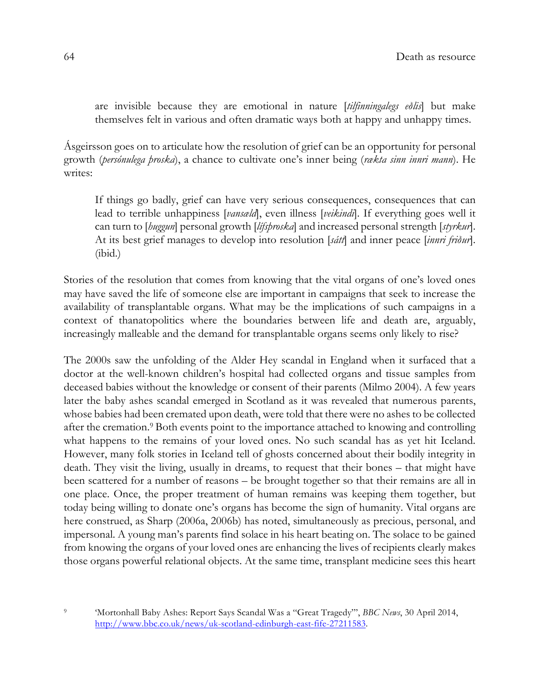are invisible because they are emotional in nature [*tilfinningalegs eðlis*] but make themselves felt in various and often dramatic ways both at happy and unhappy times.

Ásgeirsson goes on to articulate how the resolution of grief can be an opportunity for personal growth (*persónulega þroska*), a chance to cultivate one's inner being (*rækta sinn innri mann*). He writes:

If things go badly, grief can have very serious consequences, consequences that can lead to terrible unhappiness [*vansæld*], even illness [*veikindi*]. If everything goes well it can turn to [*huggun*] personal growth [*lífsþroska*] and increased personal strength [*styrkur*]. At its best grief manages to develop into resolution [*sátt*] and inner peace [*innri friður*]. (ibid.)

Stories of the resolution that comes from knowing that the vital organs of one's loved ones may have saved the life of someone else are important in campaigns that seek to increase the availability of transplantable organs. What may be the implications of such campaigns in a context of thanatopolitics where the boundaries between life and death are, arguably, increasingly malleable and the demand for transplantable organs seems only likely to rise?

The 2000s saw the unfolding of the Alder Hey scandal in England when it surfaced that a doctor at the well-known children's hospital had collected organs and tissue samples from deceased babies without the knowledge or consent of their parents (Milmo 2004). A few years later the baby ashes scandal emerged in Scotland as it was revealed that numerous parents, whose babies had been cremated upon death, were told that there were no ashes to be collected after the cremation.9 Both events point to the importance attached to knowing and controlling what happens to the remains of your loved ones. No such scandal has as yet hit Iceland. However, many folk stories in Iceland tell of ghosts concerned about their bodily integrity in death. They visit the living, usually in dreams, to request that their bones – that might have been scattered for a number of reasons – be brought together so that their remains are all in one place. Once, the proper treatment of human remains was keeping them together, but today being willing to donate one's organs has become the sign of humanity. Vital organs are here construed, as Sharp (2006a, 2006b) has noted, simultaneously as precious, personal, and impersonal. A young man's parents find solace in his heart beating on. The solace to be gained from knowing the organs of your loved ones are enhancing the lives of recipients clearly makes those organs powerful relational objects. At the same time, transplant medicine sees this heart

<sup>9</sup> 'Mortonhall Baby Ashes: Report Says Scandal Was a "Great Tragedy"', *BBC News*, 30 April 2014, http://www.bbc.co.uk/news/uk-scotland-edinburgh-east-fife-27211583.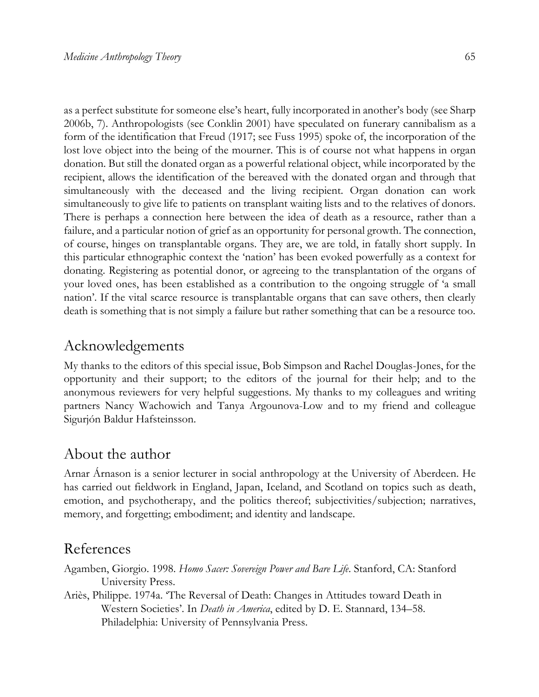as a perfect substitute for someone else's heart, fully incorporated in another's body (see Sharp 2006b, 7). Anthropologists (see Conklin 2001) have speculated on funerary cannibalism as a form of the identification that Freud (1917; see Fuss 1995) spoke of, the incorporation of the lost love object into the being of the mourner. This is of course not what happens in organ donation. But still the donated organ as a powerful relational object, while incorporated by the recipient, allows the identification of the bereaved with the donated organ and through that simultaneously with the deceased and the living recipient. Organ donation can work simultaneously to give life to patients on transplant waiting lists and to the relatives of donors. There is perhaps a connection here between the idea of death as a resource, rather than a failure, and a particular notion of grief as an opportunity for personal growth. The connection,

of course, hinges on transplantable organs. They are, we are told, in fatally short supply. In this particular ethnographic context the 'nation' has been evoked powerfully as a context for donating. Registering as potential donor, or agreeing to the transplantation of the organs of your loved ones, has been established as a contribution to the ongoing struggle of 'a small nation'. If the vital scarce resource is transplantable organs that can save others, then clearly death is something that is not simply a failure but rather something that can be a resource too.

### Acknowledgements

My thanks to the editors of this special issue, Bob Simpson and Rachel Douglas-Jones, for the opportunity and their support; to the editors of the journal for their help; and to the anonymous reviewers for very helpful suggestions. My thanks to my colleagues and writing partners Nancy Wachowich and Tanya Argounova-Low and to my friend and colleague Sigurjón Baldur Hafsteinsson.

# About the author

Arnar Árnason is a senior lecturer in social anthropology at the University of Aberdeen. He has carried out fieldwork in England, Japan, Iceland, and Scotland on topics such as death, emotion, and psychotherapy, and the politics thereof; subjectivities/subjection; narratives, memory, and forgetting; embodiment; and identity and landscape.

# References

- Agamben, Giorgio. 1998. *Homo Sacer: Sovereign Power and Bare Life*. Stanford, CA: Stanford University Press.
- Ariès, Philippe. 1974a. 'The Reversal of Death: Changes in Attitudes toward Death in Western Societies'. In *Death in America*, edited by D. E. Stannard, 134–58. Philadelphia: University of Pennsylvania Press.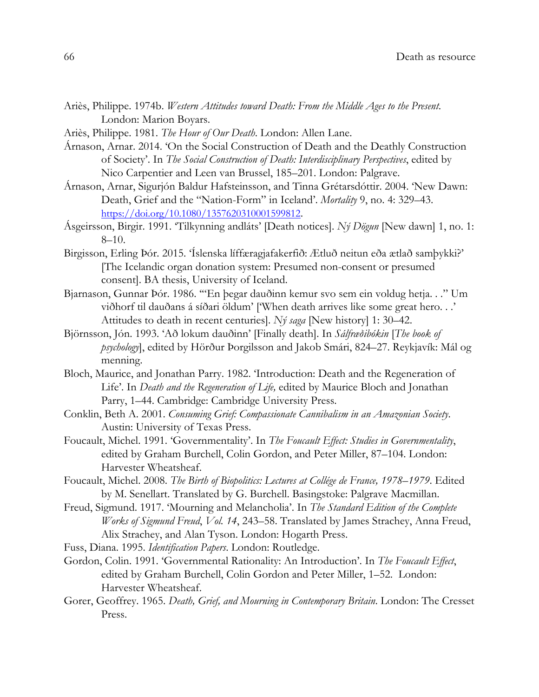- Ariès, Philippe. 1974b. *Western Attitudes toward Death: From the Middle Ages to the Present*. London: Marion Boyars.
- Ariès, Philippe. 1981. *The Hour of Our Death*. London: Allen Lane.
- Árnason, Arnar. 2014. 'On the Social Construction of Death and the Deathly Construction of Society'. In *The Social Construction of Death: Interdisciplinary Perspectives*, edited by Nico Carpentier and Leen van Brussel, 185–201. London: Palgrave.
- Árnason, Arnar, Sigurjón Baldur Hafsteinsson, and Tinna Grétarsdóttir. 2004. 'New Dawn: Death, Grief and the "Nation-Form" in Iceland'. *Mortality* 9, no. 4: 329–43. https://doi.org/10.1080/1357620310001599812.
- Ásgeirsson, Birgir. 1991. 'Tilkynning andláts' [Death notices]. *Ný Dögun* [New dawn] 1, no. 1: 8–10.
- Birgisson, Erling Þór. 2015. 'Íslenska líffæragjafakerfið: Ætluð neitun eða ætlað samþykki?' [The Icelandic organ donation system: Presumed non-consent or presumed consent]. BA thesis, University of Iceland.
- Bjarnason, Gunnar Þór. 1986. '"En þegar dauðinn kemur svo sem ein voldug hetja. . ." Um viðhorf til dauðans á síðari öldum' ['When death arrives like some great hero. . .' Attitudes to death in recent centuries]. *Ný saga* [New history] 1: 30–42.
- Björnsson, Jón. 1993. 'Að lokum dauðinn' [Finally death]. In *Sálfræðibókin* [*The book of psychology*], edited by Hörður Þorgilsson and Jakob Smári, 824–27. Reykjavík: Mál og menning.
- Bloch, Maurice, and Jonathan Parry. 1982. 'Introduction: Death and the Regeneration of Life'. In *Death and the Regeneration of Life,* edited by Maurice Bloch and Jonathan Parry, 1–44. Cambridge: Cambridge University Press.
- Conklin, Beth A. 2001. *Consuming Grief: Compassionate Cannibalism in an Amazonian Society*. Austin: University of Texas Press.
- Foucault, Michel. 1991. 'Governmentality'. In *The Foucault Effect: Studies in Governmentality*, edited by Graham Burchell, Colin Gordon, and Peter Miller, 87–104. London: Harvester Wheatsheaf.
- Foucault, Michel. 2008. *The Birth of Biopolitics: Lectures at Collége de France, 1978–1979*. Edited by M. Senellart. Translated by G. Burchell. Basingstoke: Palgrave Macmillan.
- Freud, Sigmund. 1917. 'Mourning and Melancholia'. In *The Standard Edition of the Complete Works of Sigmund Freud*, *Vol. 14*, 243–58. Translated by James Strachey, Anna Freud, Alix Strachey, and Alan Tyson. London: Hogarth Press.

Fuss, Diana. 1995. *Identification Papers*. London: Routledge.

- Gordon, Colin. 1991. 'Governmental Rationality: An Introduction'. In *The Foucault Effect*, edited by Graham Burchell, Colin Gordon and Peter Miller, 1–52. London: Harvester Wheatsheaf.
- Gorer, Geoffrey. 1965. *Death, Grief, and Mourning in Contemporary Britain*. London: The Cresset Press.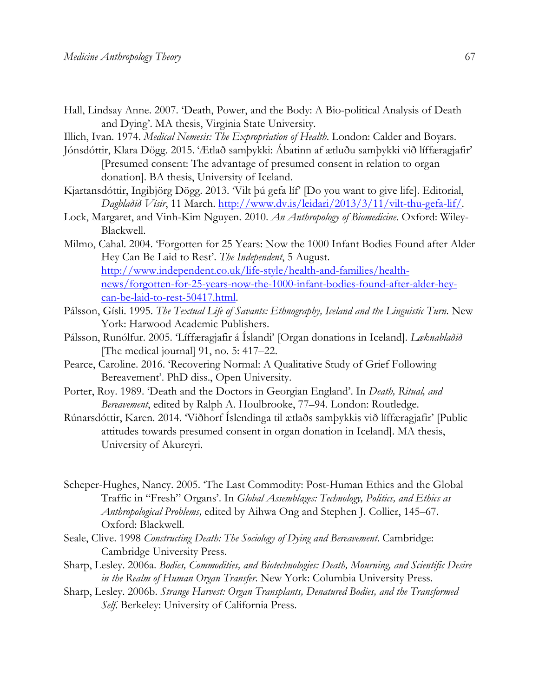- Hall, Lindsay Anne. 2007. 'Death, Power, and the Body: A Bio-political Analysis of Death and Dying'. MA thesis, Virginia State University.
- Illich, Ivan. 1974. *Medical Nemesis: The Expropriation of Health*. London: Calder and Boyars.
- Jónsdóttir, Klara Dögg. 2015. 'Ætlað samþykki: Ábatinn af ætluðu samþykki við líffæragjafir' [Presumed consent: The advantage of presumed consent in relation to organ donation]. BA thesis, University of Iceland.
- Kjartansdóttir, Ingibjörg Dögg. 2013. 'Vilt þú gefa líf' [Do you want to give life]. Editorial, *Dagblaðið Vísir*, 11 March. http://www.dv.is/leidari/2013/3/11/vilt-thu-gefa-lif/.
- Lock, Margaret, and Vinh-Kim Nguyen. 2010. *An Anthropology of Biomedicine*. Oxford: Wiley-Blackwell.
- Milmo, Cahal. 2004. 'Forgotten for 25 Years: Now the 1000 Infant Bodies Found after Alder Hey Can Be Laid to Rest'. *The Independent*, 5 August. http://www.independent.co.uk/life-style/health-and-families/healthnews/forgotten-for-25-years-now-the-1000-infant-bodies-found-after-alder-heycan-be-laid-to-rest-50417.html.
- Pálsson, Gísli. 1995. *The Textual Life of Savants: Ethnography, Iceland and the Linguistic Turn.* New York: Harwood Academic Publishers.
- Pálsson, Runólfur. 2005. 'Líffæragjafir á Íslandi' [Organ donations in Iceland]. *Læknablaðið* [The medical journal] 91, no. 5: 417–22.
- Pearce, Caroline. 2016. 'Recovering Normal: A Qualitative Study of Grief Following Bereavement'. PhD diss., Open University.
- Porter, Roy. 1989. 'Death and the Doctors in Georgian England'. In *Death, Ritual, and Bereavement*, edited by Ralph A. Houlbrooke, 77–94. London: Routledge.
- Rúnarsdóttir, Karen. 2014. 'Viðhorf Íslendinga til ætlaðs samþykkis við líffæragjafir' [Public attitudes towards presumed consent in organ donation in Iceland]. MA thesis, University of Akureyri.
- Scheper-Hughes, Nancy. 2005. 'The Last Commodity: Post-Human Ethics and the Global Traffic in "Fresh" Organs'. In *Global Assemblages: Technology, Politics, and Ethics as Anthropological Problems,* edited by Aihwa Ong and Stephen J. Collier, 145–67. Oxford: Blackwell.
- Seale, Clive. 1998 *Constructing Death: The Sociology of Dying and Bereavement*. Cambridge: Cambridge University Press.
- Sharp, Lesley. 2006a. *Bodies, Commodities, and Biotechnologies: Death, Mourning, and Scientific Desire in the Realm of Human Organ Transfer*. New York: Columbia University Press.
- Sharp, Lesley. 2006b. *Strange Harvest: Organ Transplants, Denatured Bodies, and the Transformed Self*. Berkeley: University of California Press.